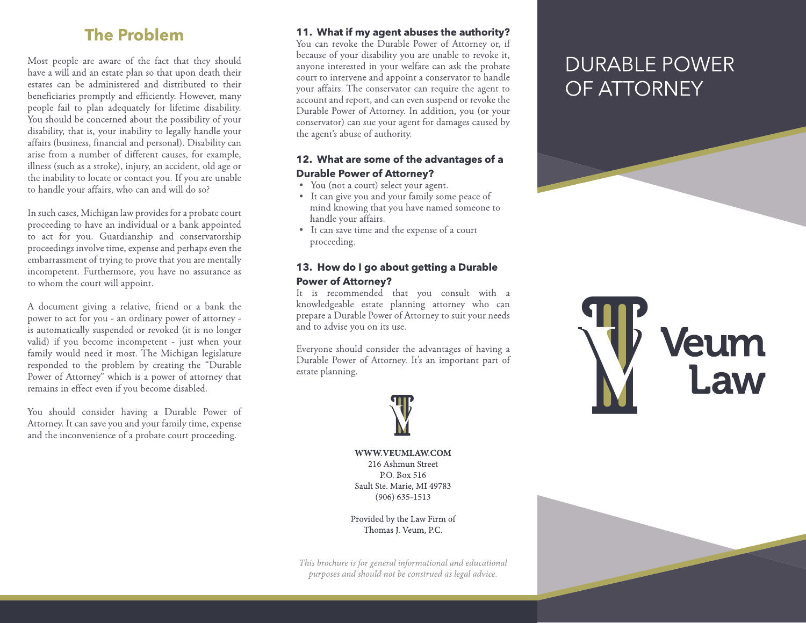# **The Problem**

Most people are aware of the fact that they should have a will and an estate plan so that upon death their estates can be administered and distributed to their beneficiaries promptly and efficiently. However, many people fail to plan adequately for lifetime disability. You should be concerned about the possibility of your disability, that is, your inability to legally handle your affairs (business, financial and personal). Disability can arise from a number of different causes, for example, illness (such as a stroke), injury, an accident, old age or the inability to locate or contact you. If you are unable to handle your affairs, who can and will do so?

In such cases, Michigan law provides for a probate court proceeding to have an individual or a bank appointed to act for you. Guardianship and conservatorship proceedings involve time, expense and perhaps even the embarrassment of trying to prove that you are mentally incompetent. Furthermore, you have no assurance as to whom the court will appoint.

A document giving a relative, friend or a bank the power to act for you - an ordinary power of attorney is automatically suspended or revoked (it is no longer valid) if you become incompetent - just when your family would need it most. The Michigan legislature responded to the problem by creating the "Durable Power of Attorney" which is a power of attorney that remains in effect even if you become disabled.

You should consider having a Durable Power of Attorney. It can save you and your family time, expense and the inconvenience of a probate court proceeding.

## 11. What if my agent abuses the authority?

You can revoke the Durable Power of Attorney or, if because of your disability you are unable to revoke it, anyone interested in your welfare can ask the probate court to intervene and appoint a conservator to handle your affairs. The conservator can require the agent to account and report, and can even suspend or revoke the Durable Power of Attorney. In addition, you (or your conservator) can sue your agent for damages caused by the agent's abuse of authority.

## 12. What are some of the advantages of a **Durable Power of Attorney?**

- You (not a court) select your agent.
- It can give you and your family some peace of mind knowing that you have named someone to handle your affairs.
- It can save time and the expense of a court proceeding.

# 13. How do I go about getting a Durable **Power of Attorney?**

It is recommended that you consult with a knowledgeable estate planning attorney who can prepare a Durable Power of Attorney to suit your needs and to advise you on its use.

Everyone should consider the advantages of having a Durable Power of Attorney. It's an important part of estate planning.



WWW.VEUMLAW.COM 216 Ashmun Street P.O. Box 516 Sault Ste. Marie, MI 49783  $(906) 635 - 1513$ 

Provided by the Law Firm of Thomas J. Veum, P.C.

This brochure is for general informational and educational purposes and should not be construed as legal advice.

# **DURABLE POWER** OF ATTORNEY